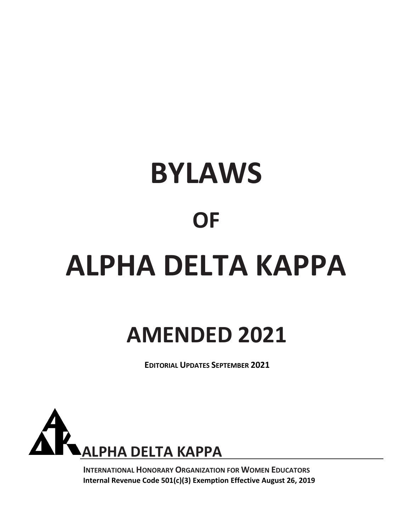# **BYLAWS OF ALPHA DELTA KAPPA**

## **AMENDED 2021**

**EDITORIAL UPDATES SEPTEMBER 2021**



**INTERNATIONAL HONORARY ORGANIZATION FOR WOMEN EDUCATORS Internal Revenue Code 501(c)(3) Exemption Effective August 26, 2019**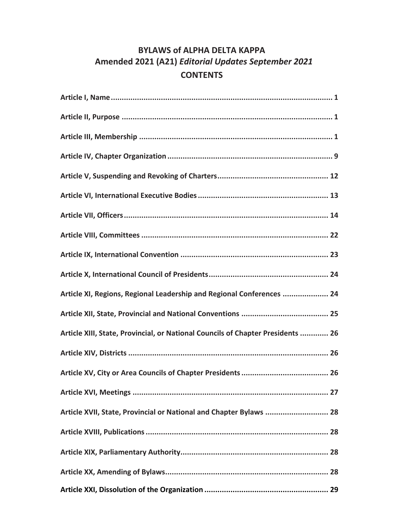### **BYLAWS of ALPHA DELTA KAPPA Amended 2021 (A21)** *Editorial Updates September 2021* **CONTENTS**

| Article XI, Regions, Regional Leadership and Regional Conferences  24           |
|---------------------------------------------------------------------------------|
|                                                                                 |
| Article XIII, State, Provincial, or National Councils of Chapter Presidents  26 |
|                                                                                 |
|                                                                                 |
|                                                                                 |
| Article XVII, State, Provincial or National and Chapter Bylaws  28              |
|                                                                                 |
|                                                                                 |
|                                                                                 |
|                                                                                 |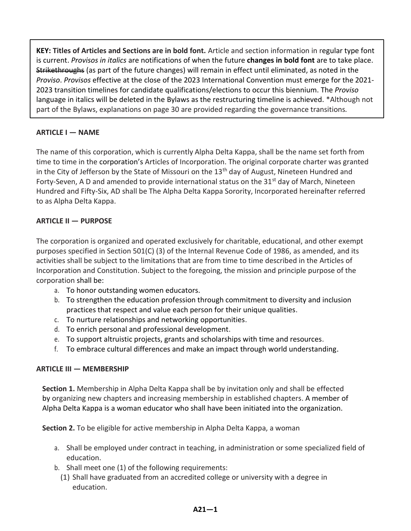**KEY: Titles of Articles and Sections are in bold font.** Article and section information in regular type font is current. *Provisos in italics* are notifications of when the future **changes in bold font** are to take place. Strikethroughs (as part of the future changes) will remain in effect until eliminated, as noted in the *Proviso*. *Provisos* effective at the close of the 2023 International Convention must emerge for the 2021- 2023 transition timelines for candidate qualifications/elections to occur this biennium. The *Proviso* language in italics will be deleted in the Bylaws as the restructuring timeline is achieved. \*Although not part of the Bylaws, explanations on page 30 are provided regarding the governance transitions*.*

#### **ARTICLE I — NAME**

The name of this corporation, which is currently Alpha Delta Kappa, shall be the name set forth from time to time in the corporation's Articles of Incorporation. The original corporate charter was granted in the City of Jefferson by the State of Missouri on the 13<sup>th</sup> day of August, Nineteen Hundred and Forty-Seven, A D and amended to provide international status on the  $31<sup>st</sup>$  day of March, Nineteen Hundred and Fifty-Six, AD shall be The Alpha Delta Kappa Sorority, Incorporated hereinafter referred to as Alpha Delta Kappa.

#### **ARTICLE II — PURPOSE**

The corporation is organized and operated exclusively for charitable, educational, and other exempt purposes specified in Section 501(C) (3) of the Internal Revenue Code of 1986, as amended, and its activities shall be subject to the limitations that are from time to time described in the Articles of Incorporation and Constitution. Subject to the foregoing, the mission and principle purpose of the corporation shall be:

- a. To honor outstanding women educators.
- b. To strengthen the education profession through commitment to diversity and inclusion practices that respect and value each person for their unique qualities.
- c. To nurture relationships and networking opportunities.
- d. To enrich personal and professional development.
- e. To support altruistic projects, grants and scholarships with time and resources.
- f. To embrace cultural differences and make an impact through world understanding.

#### **ARTICLE III — MEMBERSHIP**

**Section 1.** Membership in Alpha Delta Kappa shall be by invitation only and shall be effected by organizing new chapters and increasing membership in established chapters. A member of Alpha Delta Kappa is a woman educator who shall have been initiated into the organization.

**Section 2.** To be eligible for active membership in Alpha Delta Kappa, a woman

- a. Shall be employed under contract in teaching, in administration or some specialized field of education.
- b. Shall meet one (1) of the following requirements:
	- (1) Shall have graduated from an accredited college or university with a degree in education.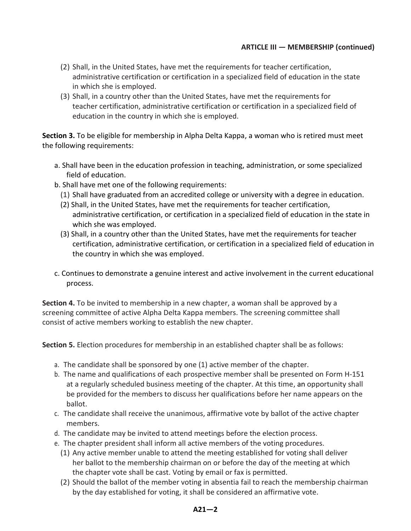- (2) Shall, in the United States, have met the requirements for teacher certification, administrative certification or certification in a specialized field of education in the state in which she is employed.
- (3) Shall, in a country other than the United States, have met the requirements for teacher certification, administrative certification or certification in a specialized field of education in the country in which she is employed.

**Section 3.** To be eligible for membership in Alpha Delta Kappa, a woman who is retired must meet the following requirements:

- a. Shall have been in the education profession in teaching, administration, or some specialized field of education.
- b. Shall have met one of the following requirements:
	- (1) Shall have graduated from an accredited college or university with a degree in education.
	- (2) Shall, in the United States, have met the requirements for teacher certification, administrative certification, or certification in a specialized field of education in the state in which she was employed.
	- (3) Shall, in a country other than the United States, have met the requirements for teacher certification, administrative certification, or certification in a specialized field of education in the country in which she was employed.
- c. Continues to demonstrate a genuine interest and active involvement in the current educational process.

**Section 4.** To be invited to membership in a new chapter, a woman shall be approved by a screening committee of active Alpha Delta Kappa members. The screening committee shall consist of active members working to establish the new chapter.

**Section 5.** Election procedures for membership in an established chapter shall be as follows:

- a. The candidate shall be sponsored by one (1) active member of the chapter.
- b. The name and qualifications of each prospective member shall be presented on Form H-151 at a regularly scheduled business meeting of the chapter. At this time, an opportunity shall be provided for the members to discuss her qualifications before her name appears on the ballot.
- c. The candidate shall receive the unanimous, affirmative vote by ballot of the active chapter members.
- d. The candidate may be invited to attend meetings before the election process.
- e. The chapter president shall inform all active members of the voting procedures.
	- (1) Any active member unable to attend the meeting established for voting shall deliver her ballot to the membership chairman on or before the day of the meeting at which the chapter vote shall be cast. Voting by email or fax is permitted.
	- (2) Should the ballot of the member voting in absentia fail to reach the membership chairman by the day established for voting, it shall be considered an affirmative vote.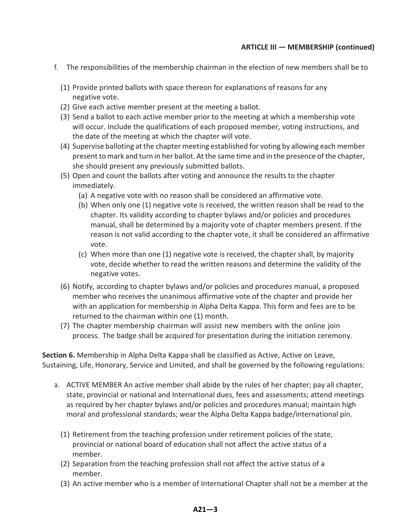- f. The responsibilities of the membership chairman in the election of new members shall be to
	- (1) Provide printed ballots with space thereon for explanations of reasons for any negative vote.
	- (2) Give each active member present at the meeting a ballot.
	- (3) Send a ballot to each active member prior to the meeting at which a membership vote will occur. Include the qualifications of each proposed member, voting instructions, and the date of the meeting at which the chapter will vote.
	- (4) Supervise balloting at the chapter meeting established for voting by allowing each member present to mark and turn in her ballot. At the same time and in the presence of the chapter, she should present any previously submitted ballots.
	- (5) Open and count the ballots after voting and announce the results to the chapter immediately.
		- (a) A negative vote with no reason shall be considered an affirmative vote.
		- (b) When only one (1) negative vote is received, the written reason shall be read to the chapter. Its validity according to chapter bylaws and/or policies and procedures manual, shall be determined by a majority vote of chapter members present. If the reason is not valid according to the chapter vote, it shall be considered an affirmative vote.
		- (c) When more than one (1) negative vote is received, the chapter shall, by majority vote, decide whether to read the written reasons and determine the validity of the negative votes.
	- (6) Notify, according to chapter bylaws and/or policies and procedures manual, a proposed member who receives the unanimous affirmative vote of the chapter and provide her with an application for membership in Alpha Delta Kappa. This form and fees are to be returned to the chairman within one (1) month.
	- (7) The chapter membership chairman will assist new members with the online join process. The badge shall be acquired for presentation during the initiation ceremony.

**Section 6.** Membership in Alpha Delta Kappa shall be classified as Active, Active on Leave, Sustaining, Life, Honorary, Service and Limited, and shall be governed by the following regulations:

- a. ACTIVE MEMBER An active member shall abide by the rules of her chapter; pay all chapter, state, provincial or national and International dues, fees and assessments; attend meetings as required by her chapter bylaws and/or policies and procedures manual; maintain high moral and professional standards; wear the Alpha Delta Kappa badge/international pin.
	- (1) Retirement from the teaching profession under retirement policies of the state, provincial or national board of education shall not affect the active status of a member.
	- (2) Separation from the teaching profession shall not affect the active status of a member.
	- (3) An active member who is a member of International Chapter shall not be a member at the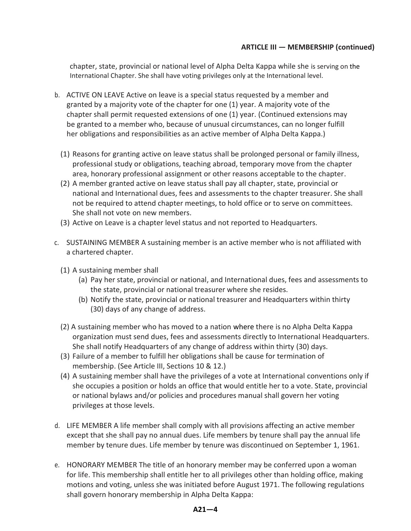chapter, state, provincial or national level of Alpha Delta Kappa while she is serving on the International Chapter. She shall have voting privileges only at the International level.

- b. ACTIVE ON LEAVE Active on leave is a special status requested by a member and granted by a majority vote of the chapter for one (1) year. A majority vote of the chapter shall permit requested extensions of one (1) year. (Continued extensions may be granted to a member who, because of unusual circumstances, can no longer fulfill her obligations and responsibilities as an active member of Alpha Delta Kappa.)
	- (1) Reasons for granting active on leave status shall be prolonged personal or family illness, professional study or obligations, teaching abroad, temporary move from the chapter area, honorary professional assignment or other reasons acceptable to the chapter.
	- (2) A member granted active on leave status shall pay all chapter, state, provincial or national and International dues, fees and assessments to the chapter treasurer. She shall not be required to attend chapter meetings, to hold office or to serve on committees. She shall not vote on new members.
	- (3) Active on Leave is a chapter level status and not reported to Headquarters.
- c. SUSTAINING MEMBER A sustaining member is an active member who is not affiliated with a chartered chapter.
	- (1) A sustaining member shall
		- (a) Pay her state, provincial or national, and International dues, fees and assessments to the state, provincial or national treasurer where she resides.
		- (b) Notify the state, provincial or national treasurer and Headquarters within thirty (30) days of any change of address.
	- (2) A sustaining member who has moved to a nation where there is no Alpha Delta Kappa organization must send dues, fees and assessments directly to International Headquarters. She shall notify Headquarters of any change of address within thirty (30) days.
	- (3) Failure of a member to fulfill her obligations shall be cause for termination of membership. (See Article III, Sections 10 & 12.)
	- (4) A sustaining member shall have the privileges of a vote at International conventions only if she occupies a position or holds an office that would entitle her to a vote. State, provincial or national bylaws and/or policies and procedures manual shall govern her voting privileges at those levels.
- d. LIFE MEMBER A life member shall comply with all provisions affecting an active member except that she shall pay no annual dues. Life members by tenure shall pay the annual life member by tenure dues. Life member by tenure was discontinued on September 1, 1961.
- e. HONORARY MEMBER The title of an honorary member may be conferred upon a woman for life. This membership shall entitle her to all privileges other than holding office, making motions and voting, unless she was initiated before August 1971. The following regulations shall govern honorary membership in Alpha Delta Kappa: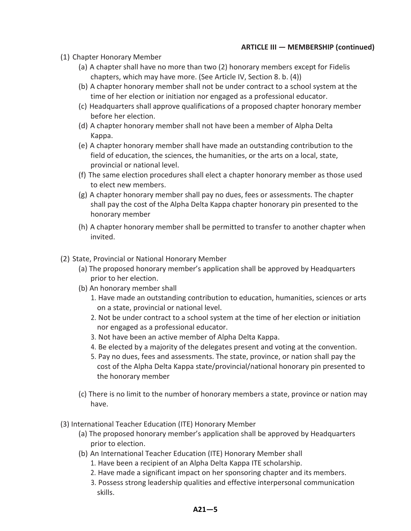- (1) Chapter Honorary Member
	- (a) A chapter shall have no more than two (2) honorary members except for Fidelis chapters, which may have more. (See Article IV, Section 8. b. (4))
	- (b) A chapter honorary member shall not be under contract to a school system at the time of her election or initiation nor engaged as a professional educator.
	- (c) Headquarters shall approve qualifications of a proposed chapter honorary member before her election.
	- (d) A chapter honorary member shall not have been a member of Alpha Delta Kappa.
	- (e) A chapter honorary member shall have made an outstanding contribution to the field of education, the sciences, the humanities, or the arts on a local, state, provincial or national level.
	- (f) The same election procedures shall elect a chapter honorary member as those used to elect new members.
	- (g) A chapter honorary member shall pay no dues, fees or assessments. The chapter shall pay the cost of the Alpha Delta Kappa chapter honorary pin presented to the honorary member
	- (h) A chapter honorary member shall be permitted to transfer to another chapter when invited.
- (2) State, Provincial or National Honorary Member
	- (a) The proposed honorary member's application shall be approved by Headquarters prior to her election.
	- (b) An honorary member shall
		- 1. Have made an outstanding contribution to education, humanities, sciences or arts on a state, provincial or national level.
		- 2. Not be under contract to a school system at the time of her election or initiation nor engaged as a professional educator.
		- 3. Not have been an active member of Alpha Delta Kappa.
		- 4. Be elected by a majority of the delegates present and voting at the convention.
		- 5. Pay no dues, fees and assessments. The state, province, or nation shall pay the cost of the Alpha Delta Kappa state/provincial/national honorary pin presented to the honorary member
	- (c) There is no limit to the number of honorary members a state, province or nation may have.
- (3) International Teacher Education (ITE) Honorary Member
	- (a) The proposed honorary member's application shall be approved by Headquarters prior to election.
	- (b) An International Teacher Education (ITE) Honorary Member shall
		- 1. Have been a recipient of an Alpha Delta Kappa ITE scholarship.
		- 2. Have made a significant impact on her sponsoring chapter and its members.
		- 3. Possess strong leadership qualities and effective interpersonal communication skills.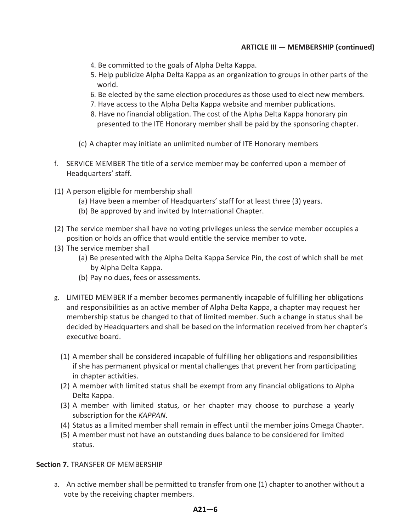- 4. Be committed to the goals of Alpha Delta Kappa.
- 5. Help publicize Alpha Delta Kappa as an organization to groups in other parts of the world.
- 6. Be elected by the same election procedures as those used to elect new members.
- 7. Have access to the Alpha Delta Kappa website and member publications.
- 8. Have no financial obligation. The cost of the Alpha Delta Kappa honorary pin presented to the ITE Honorary member shall be paid by the sponsoring chapter.
- (c) A chapter may initiate an unlimited number of ITE Honorary members
- f. SERVICE MEMBER The title of a service member may be conferred upon a member of Headquarters' staff.
- (1) A person eligible for membership shall
	- (a) Have been a member of Headquarters' staff for at least three (3) years.
	- (b) Be approved by and invited by International Chapter.
- (2) The service member shall have no voting privileges unless the service member occupies a position or holds an office that would entitle the service member to vote.
- (3) The service member shall
	- (a) Be presented with the Alpha Delta Kappa Service Pin, the cost of which shall be met by Alpha Delta Kappa.
	- (b) Pay no dues, fees or assessments.
- g. LIMITED MEMBER If a member becomes permanently incapable of fulfilling her obligations and responsibilities as an active member of Alpha Delta Kappa, a chapter may request her membership status be changed to that of limited member. Such a change in status shall be decided by Headquarters and shall be based on the information received from her chapter's executive board.
	- (1) A member shall be considered incapable of fulfilling her obligations and responsibilities if she has permanent physical or mental challenges that prevent her from participating in chapter activities.
	- (2) A member with limited status shall be exempt from any financial obligations to Alpha Delta Kappa.
	- (3) A member with limited status, or her chapter may choose to purchase a yearly subscription for the *KAPPAN*.
	- (4) Status as a limited member shall remain in effect until the member joins Omega Chapter.
	- (5) A member must not have an outstanding dues balance to be considered for limited status.

#### **Section 7.** TRANSFER OF MEMBERSHIP

a. An active member shall be permitted to transfer from one (1) chapter to another without a vote by the receiving chapter members.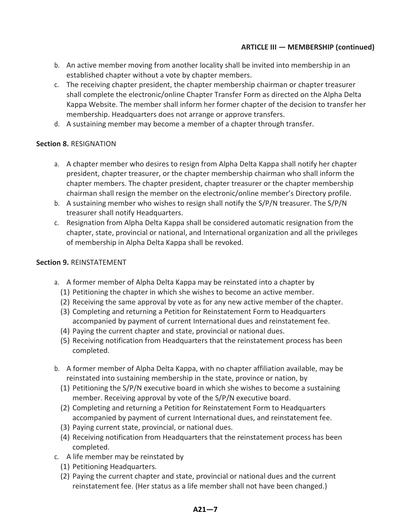- b. An active member moving from another locality shall be invited into membership in an established chapter without a vote by chapter members.
- c. The receiving chapter president, the chapter membership chairman or chapter treasurer shall complete the electronic/online Chapter Transfer Form as directed on the Alpha Delta Kappa Website. The member shall inform her former chapter of the decision to transfer her membership. Headquarters does not arrange or approve transfers.
- d. A sustaining member may become a member of a chapter through transfer.

#### **Section 8.** RESIGNATION

- a. A chapter member who desires to resign from Alpha Delta Kappa shall notify her chapter president, chapter treasurer, or the chapter membership chairman who shall inform the chapter members. The chapter president, chapter treasurer or the chapter membership chairman shall resign the member on the electronic/online member's Directory profile.
- b. A sustaining member who wishes to resign shall notify the S/P/N treasurer. The S/P/N treasurer shall notify Headquarters.
- c. Resignation from Alpha Delta Kappa shall be considered automatic resignation from the chapter, state, provincial or national, and International organization and all the privileges of membership in Alpha Delta Kappa shall be revoked.

#### **Section 9.** REINSTATEMENT

- a. A former member of Alpha Delta Kappa may be reinstated into a chapter by
	- (1) Petitioning the chapter in which she wishes to become an active member.
	- (2) Receiving the same approval by vote as for any new active member of the chapter.
	- (3) Completing and returning a Petition for Reinstatement Form to Headquarters accompanied by payment of current International dues and reinstatement fee.
	- (4) Paying the current chapter and state, provincial or national dues.
	- (5) Receiving notification from Headquarters that the reinstatement process has been completed.
- b. A former member of Alpha Delta Kappa, with no chapter affiliation available, may be reinstated into sustaining membership in the state, province or nation, by
	- (1) Petitioning the S/P/N executive board in which she wishes to become a sustaining member. Receiving approval by vote of the S/P/N executive board.
	- (2) Completing and returning a Petition for Reinstatement Form to Headquarters accompanied by payment of current International dues, and reinstatement fee.
	- (3) Paying current state, provincial, or national dues.
	- (4) Receiving notification from Headquarters that the reinstatement process has been completed.
- c. A life member may be reinstated by
	- (1) Petitioning Headquarters.
	- (2) Paying the current chapter and state, provincial or national dues and the current reinstatement fee. (Her status as a life member shall not have been changed.)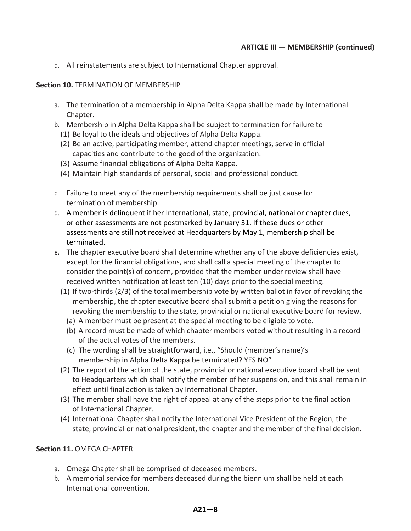d. All reinstatements are subject to International Chapter approval.

#### **Section 10. TERMINATION OF MEMBERSHIP**

- a. The termination of a membership in Alpha Delta Kappa shall be made by International Chapter.
- b. Membership in Alpha Delta Kappa shall be subject to termination for failure to
	- (1) Be loyal to the ideals and objectives of Alpha Delta Kappa.
	- (2) Be an active, participating member, attend chapter meetings, serve in official capacities and contribute to the good of the organization.
	- (3) Assume financial obligations of Alpha Delta Kappa.
	- (4) Maintain high standards of personal, social and professional conduct.
- c. Failure to meet any of the membership requirements shall be just cause for termination of membership.
- d. A member is delinquent if her International, state, provincial, national or chapter dues, or other assessments are not postmarked by January 31. If these dues or other assessments are still not received at Headquarters by May 1, membership shall be terminated.
- e. The chapter executive board shall determine whether any of the above deficiencies exist, except for the financial obligations, and shall call a special meeting of the chapter to consider the point(s) of concern, provided that the member under review shall have received written notification at least ten (10) days prior to the special meeting.
	- (1) If two-thirds (2/3) of the total membership vote by written ballot in favor of revoking the membership, the chapter executive board shall submit a petition giving the reasons for revoking the membership to the state, provincial or national executive board for review.
		- (a) A member must be present at the special meeting to be eligible to vote.
		- (b) A record must be made of which chapter members voted without resulting in a record of the actual votes of the members.
		- (c) The wording shall be straightforward, i.e., "Should (member's name)'s membership in Alpha Delta Kappa be terminated? YES NO"
	- (2) The report of the action of the state, provincial or national executive board shall be sent to Headquarters which shall notify the member of her suspension, and this shall remain in effect until final action is taken by International Chapter.
	- (3) The member shall have the right of appeal at any of the steps prior to the final action of International Chapter.
	- (4) International Chapter shall notify the International Vice President of the Region, the state, provincial or national president, the chapter and the member of the final decision.

#### **Section 11.** OMEGA CHAPTER

- a. Omega Chapter shall be comprised of deceased members.
- b. A memorial service for members deceased during the biennium shall be held at each International convention.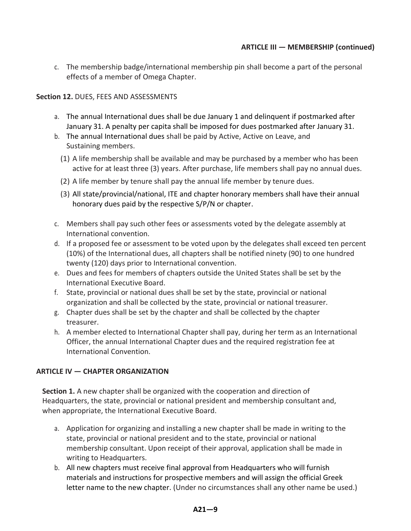c. The membership badge/international membership pin shall become a part of the personal effects of a member of Omega Chapter.

#### **Section 12.** DUES, FEES AND ASSESSMENTS

- a. The annual International dues shall be due January 1 and delinquent if postmarked after January 31. A penalty per capita shall be imposed for dues postmarked after January 31.
- b. The annual International dues shall be paid by Active, Active on Leave, and Sustaining members.
	- (1) A life membership shall be available and may be purchased by a member who has been active for at least three (3) years. After purchase, life members shall pay no annual dues.
	- (2) A life member by tenure shall pay the annual life member by tenure dues.
	- (3) All state/provincial/national, ITE and chapter honorary members shall have their annual honorary dues paid by the respective S/P/N or chapter.
- c. Members shall pay such other fees or assessments voted by the delegate assembly at International convention.
- d. If a proposed fee or assessment to be voted upon by the delegates shall exceed ten percent (10%) of the International dues, all chapters shall be notified ninety (90) to one hundred twenty (120) days prior to International convention.
- e. Dues and fees for members of chapters outside the United States shall be set by the International Executive Board.
- f. State, provincial or national dues shall be set by the state, provincial or national organization and shall be collected by the state, provincial or national treasurer.
- g. Chapter dues shall be set by the chapter and shall be collected by the chapter treasurer.
- h. A member elected to International Chapter shall pay, during her term as an International Officer, the annual International Chapter dues and the required registration fee at International Convention.

#### **ARTICLE IV — CHAPTER ORGANIZATION**

**Section 1.** A new chapter shall be organized with the cooperation and direction of Headquarters, the state, provincial or national president and membership consultant and, when appropriate, the International Executive Board.

- a. Application for organizing and installing a new chapter shall be made in writing to the state, provincial or national president and to the state, provincial or national membership consultant. Upon receipt of their approval, application shall be made in writing to Headquarters.
- b. All new chapters must receive final approval from Headquarters who will furnish materials and instructions for prospective members and will assign the official Greek letter name to the new chapter. (Under no circumstances shall any other name be used.)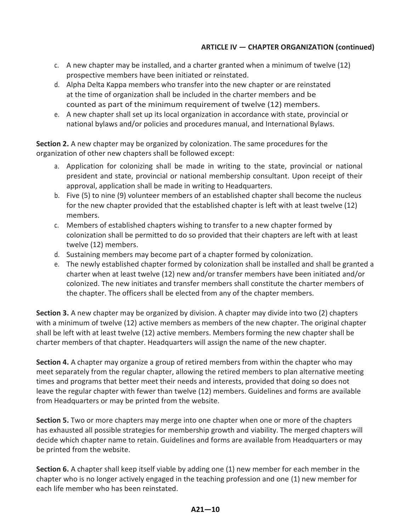#### **ARTICLE IV — CHAPTER ORGANIZATION (continued)**

- c. A new chapter may be installed, and a charter granted when a minimum of twelve (12) prospective members have been initiated or reinstated.
- d. Alpha Delta Kappa members who transfer into the new chapter or are reinstated at the time of organization shall be included in the charter members and be counted as part of the minimum requirement of twelve (12) members.
- e. A new chapter shall set up its local organization in accordance with state, provincial or national bylaws and/or policies and procedures manual, and International Bylaws.

**Section 2.** A new chapter may be organized by colonization. The same procedures for the organization of other new chapters shall be followed except:

- a. Application for colonizing shall be made in writing to the state, provincial or national president and state, provincial or national membership consultant. Upon receipt of their approval, application shall be made in writing to Headquarters.
- b. Five (5) to nine (9) volunteer members of an established chapter shall become the nucleus for the new chapter provided that the established chapter is left with at least twelve (12) members.
- c. Members of established chapters wishing to transfer to a new chapter formed by colonization shall be permitted to do so provided that their chapters are left with at least twelve (12) members.
- d. Sustaining members may become part of a chapter formed by colonization.
- e. The newly established chapter formed by colonization shall be installed and shall be granted a charter when at least twelve (12) new and/or transfer members have been initiated and/or colonized. The new initiates and transfer members shall constitute the charter members of the chapter. The officers shall be elected from any of the chapter members.

**Section 3.** A new chapter may be organized by division. A chapter may divide into two (2) chapters with a minimum of twelve (12) active members as members of the new chapter. The original chapter shall be left with at least twelve (12) active members. Members forming the new chapter shall be charter members of that chapter. Headquarters will assign the name of the new chapter.

**Section 4.** A chapter may organize a group of retired members from within the chapter who may meet separately from the regular chapter, allowing the retired members to plan alternative meeting times and programs that better meet their needs and interests, provided that doing so does not leave the regular chapter with fewer than twelve (12) members. Guidelines and forms are available from Headquarters or may be printed from the website.

**Section 5.** Two or more chapters may merge into one chapter when one or more of the chapters has exhausted all possible strategies for membership growth and viability. The merged chapters will decide which chapter name to retain. Guidelines and forms are available from Headquarters or may be printed from the website.

**Section 6.** A chapter shall keep itself viable by adding one (1) new member for each member in the chapter who is no longer actively engaged in the teaching profession and one (1) new member for each life member who has been reinstated.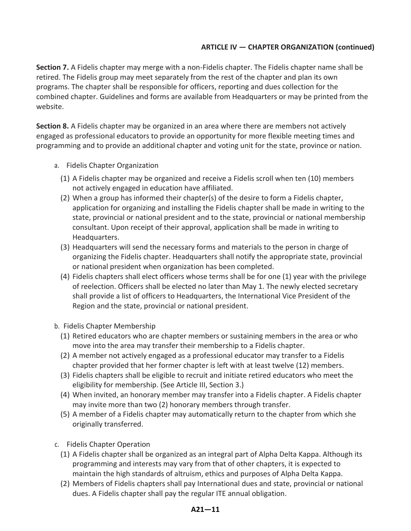#### **ARTICLE IV — CHAPTER ORGANIZATION (continued)**

**Section 7.** A Fidelis chapter may merge with a non-Fidelis chapter. The Fidelis chapter name shall be retired. The Fidelis group may meet separately from the rest of the chapter and plan its own programs. The chapter shall be responsible for officers, reporting and dues collection for the combined chapter. Guidelines and forms are available from Headquarters or may be printed from the website.

**Section 8.** A Fidelis chapter may be organized in an area where there are members not actively engaged as professional educators to provide an opportunity for more flexible meeting times and programming and to provide an additional chapter and voting unit for the state, province or nation.

- a. Fidelis Chapter Organization
	- (1) A Fidelis chapter may be organized and receive a Fidelis scroll when ten (10) members not actively engaged in education have affiliated.
	- (2) When a group has informed their chapter(s) of the desire to form a Fidelis chapter, application for organizing and installing the Fidelis chapter shall be made in writing to the state, provincial or national president and to the state, provincial or national membership consultant. Upon receipt of their approval, application shall be made in writing to Headquarters.
	- (3) Headquarters will send the necessary forms and materials to the person in charge of organizing the Fidelis chapter. Headquarters shall notify the appropriate state, provincial or national president when organization has been completed.
	- (4) Fidelis chapters shall elect officers whose terms shall be for one (1) year with the privilege of reelection. Officers shall be elected no later than May 1. The newly elected secretary shall provide a list of officers to Headquarters, the International Vice President of the Region and the state, provincial or national president.
- b. Fidelis Chapter Membership
	- (1) Retired educators who are chapter members or sustaining members in the area or who move into the area may transfer their membership to a Fidelis chapter.
	- (2) A member not actively engaged as a professional educator may transfer to a Fidelis chapter provided that her former chapter is left with at least twelve (12) members.
	- (3) Fidelis chapters shall be eligible to recruit and initiate retired educators who meet the eligibility for membership. (See Article III, Section 3.)
	- (4) When invited, an honorary member may transfer into a Fidelis chapter. A Fidelis chapter may invite more than two (2) honorary members through transfer.
	- (5) A member of a Fidelis chapter may automatically return to the chapter from which she originally transferred.
- c. Fidelis Chapter Operation
	- (1) A Fidelis chapter shall be organized as an integral part of Alpha Delta Kappa. Although its programming and interests may vary from that of other chapters, it is expected to maintain the high standards of altruism, ethics and purposes of Alpha Delta Kappa.
	- (2) Members of Fidelis chapters shall pay International dues and state, provincial or national dues. A Fidelis chapter shall pay the regular ITE annual obligation.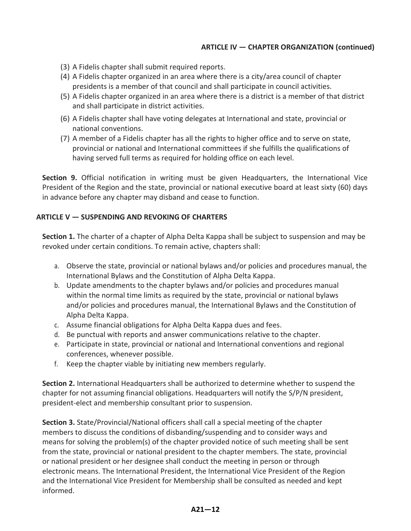#### **ARTICLE IV — CHAPTER ORGANIZATION (continued)**

- (3) A Fidelis chapter shall submit required reports.
- (4) A Fidelis chapter organized in an area where there is a city/area council of chapter presidents is a member of that council and shall participate in council activities.
- (5) A Fidelis chapter organized in an area where there is a district is a member of that district and shall participate in district activities.
- (6) A Fidelis chapter shall have voting delegates at International and state, provincial or national conventions.
- (7) A member of a Fidelis chapter has all the rights to higher office and to serve on state, provincial or national and International committees if she fulfills the qualifications of having served full terms as required for holding office on each level.

**Section 9.** Official notification in writing must be given Headquarters, the International Vice President of the Region and the state, provincial or national executive board at least sixty (60) days in advance before any chapter may disband and cease to function.

#### **ARTICLE V — SUSPENDING AND REVOKING OF CHARTERS**

**Section 1.** The charter of a chapter of Alpha Delta Kappa shall be subject to suspension and may be revoked under certain conditions. To remain active, chapters shall:

- a. Observe the state, provincial or national bylaws and/or policies and procedures manual, the International Bylaws and the Constitution of Alpha Delta Kappa.
- b. Update amendments to the chapter bylaws and/or policies and procedures manual within the normal time limits as required by the state, provincial or national bylaws and/or policies and procedures manual, the International Bylaws and the Constitution of Alpha Delta Kappa.
- c. Assume financial obligations for Alpha Delta Kappa dues and fees.
- d. Be punctual with reports and answer communications relative to the chapter.
- e. Participate in state, provincial or national and International conventions and regional conferences, whenever possible.
- f. Keep the chapter viable by initiating new members regularly.

**Section 2.** International Headquarters shall be authorized to determine whether to suspend the chapter for not assuming financial obligations. Headquarters will notify the S/P/N president, president-elect and membership consultant prior to suspension.

**Section 3.** State/Provincial/National officers shall call a special meeting of the chapter members to discuss the conditions of disbanding/suspending and to consider ways and means for solving the problem(s) of the chapter provided notice of such meeting shall be sent from the state, provincial or national president to the chapter members. The state, provincial or national president or her designee shall conduct the meeting in person or through electronic means. The International President, the International Vice President of the Region and the International Vice President for Membership shall be consulted as needed and kept informed.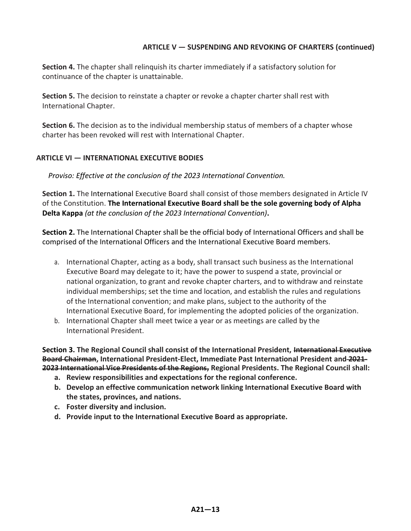#### **ARTICLE V — SUSPENDING AND REVOKING OF CHARTERS (continued)**

**Section 4.** The chapter shall relinquish its charter immediately if a satisfactory solution for continuance of the chapter is unattainable.

**Section 5.** The decision to reinstate a chapter or revoke a chapter charter shall rest with International Chapter.

**Section 6.** The decision as to the individual membership status of members of a chapter whose charter has been revoked will rest with International Chapter.

#### **ARTICLE VI — INTERNATIONAL EXECUTIVE BODIES**

*Proviso: Effective at the conclusion of the 2023 International Convention.*

**Section 1.** The International Executive Board shall consist of those members designated in Article IV of the Constitution. **The International Executive Board shall be the sole governing body of Alpha Delta Kappa** *(at the conclusion of the 2023 International Convention)***.**

**Section 2.** The International Chapter shall be the official body of International Officers and shall be comprised of the International Officers and the International Executive Board members.

- a. International Chapter, acting as a body, shall transact such business as the International Executive Board may delegate to it; have the power to suspend a state, provincial or national organization, to grant and revoke chapter charters, and to withdraw and reinstate individual memberships; set the time and location, and establish the rules and regulations of the International convention; and make plans, subject to the authority of the International Executive Board, for implementing the adopted policies of the organization.
- b. International Chapter shall meet twice a year or as meetings are called by the International President.

**Section 3. The Regional Council shall consist of the International President, International Executive Board Chairman, International President-Elect, Immediate Past International President and 2021- 2023 International Vice Presidents of the Regions, Regional Presidents. The Regional Council shall:**

- **a. Review responsibilities and expectations for the regional conference.**
- **b. Develop an effective communication network linking International Executive Board with the states, provinces, and nations.**
- **c. Foster diversity and inclusion.**
- **d. Provide input to the International Executive Board as appropriate.**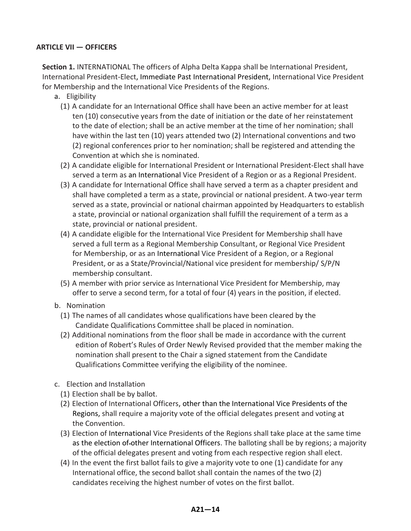#### **ARTICLE VII — OFFICERS**

**Section 1.** INTERNATIONAL The officers of Alpha Delta Kappa shall be International President, International President-Elect, Immediate Past International President, International Vice President for Membership and the International Vice Presidents of the Regions.

- a. Eligibility
	- (1) A candidate for an International Office shall have been an active member for at least ten (10) consecutive years from the date of initiation or the date of her reinstatement to the date of election; shall be an active member at the time of her nomination; shall have within the last ten (10) years attended two (2) International conventions and two (2) regional conferences prior to her nomination; shall be registered and attending the Convention at which she is nominated.
	- (2) A candidate eligible for International President or International President-Elect shall have served a term as an International Vice President of a Region or as a Regional President.
	- (3) A candidate for International Office shall have served a term as a chapter president and shall have completed a term as a state, provincial or national president. A two-year term served as a state, provincial or national chairman appointed by Headquarters to establish a state, provincial or national organization shall fulfill the requirement of a term as a state, provincial or national president.
	- (4) A candidate eligible for the International Vice President for Membership shall have served a full term as a Regional Membership Consultant, or Regional Vice President for Membership, or as an International Vice President of a Region, or a Regional President, or as a State/Provincial/National vice president for membership/ S/P/N membership consultant.
	- (5) A member with prior service as International Vice President for Membership, may offer to serve a second term, for a total of four (4) years in the position, if elected.
- b. Nomination
	- (1) The names of all candidates whose qualifications have been cleared by the Candidate Qualifications Committee shall be placed in nomination.
	- (2) Additional nominations from the floor shall be made in accordance with the current edition of Robert's Rules of Order Newly Revised provided that the member making the nomination shall present to the Chair a signed statement from the Candidate Qualifications Committee verifying the eligibility of the nominee.
- c. Election and Installation
	- (1) Election shall be by ballot.
	- (2) Election of International Officers, other than the International Vice Presidents of the Regions, shall require a majority vote of the official delegates present and voting at the Convention.
	- (3) Election of International Vice Presidents of the Regions shall take place at the same time as the election of-other International Officers. The balloting shall be by regions; a majority of the official delegates present and voting from each respective region shall elect.
	- (4) In the event the first ballot fails to give a majority vote to one (1) candidate for any International office, the second ballot shall contain the names of the two (2) candidates receiving the highest number of votes on the first ballot.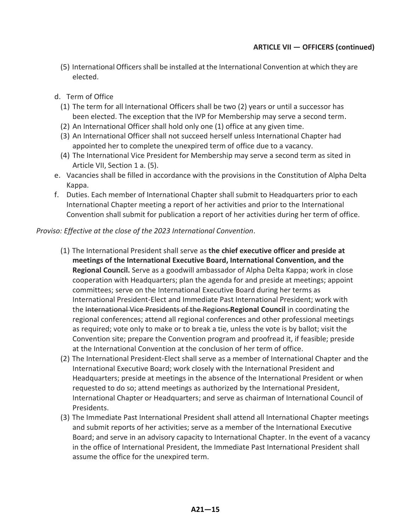- (5) International Officers shall be installed at the International Convention at which they are elected.
- d. Term of Office
	- (1) The term for all International Officers shall be two (2) years or until a successor has been elected. The exception that the IVP for Membership may serve a second term.
	- (2) An International Officer shall hold only one (1) office at any given time.
	- (3) An International Officer shall not succeed herself unless International Chapter had appointed her to complete the unexpired term of office due to a vacancy.
	- (4) The International Vice President for Membership may serve a second term as sited in Article VII, Section 1 a. (5).
- e. Vacancies shall be filled in accordance with the provisions in the Constitution of Alpha Delta Kappa.
- f. Duties. Each member of International Chapter shall submit to Headquarters prior to each International Chapter meeting a report of her activities and prior to the International Convention shall submit for publication a report of her activities during her term of office.

#### *Proviso: Effective at the close of the 2023 International Convention*.

- (1) The International President shall serve as **the chief executive officer and preside at meetings of the International Executive Board, International Convention, and the Regional Council.** Serve as a goodwill ambassador of Alpha Delta Kappa; work in close cooperation with Headquarters; plan the agenda for and preside at meetings; appoint committees; serve on the International Executive Board during her terms as International President-Elect and Immediate Past International President; work with the International Vice Presidents of the Regions **Regional Council** in coordinating the regional conferences; attend all regional conferences and other professional meetings as required; vote only to make or to break a tie, unless the vote is by ballot; visit the Convention site; prepare the Convention program and proofread it, if feasible; preside at the International Convention at the conclusion of her term of office.
- (2) The International President-Elect shall serve as a member of International Chapter and the International Executive Board; work closely with the International President and Headquarters; preside at meetings in the absence of the International President or when requested to do so; attend meetings as authorized by the International President, International Chapter or Headquarters; and serve as chairman of International Council of Presidents.
- (3) The Immediate Past International President shall attend all International Chapter meetings and submit reports of her activities; serve as a member of the International Executive Board; and serve in an advisory capacity to International Chapter. In the event of a vacancy in the office of International President, the Immediate Past International President shall assume the office for the unexpired term.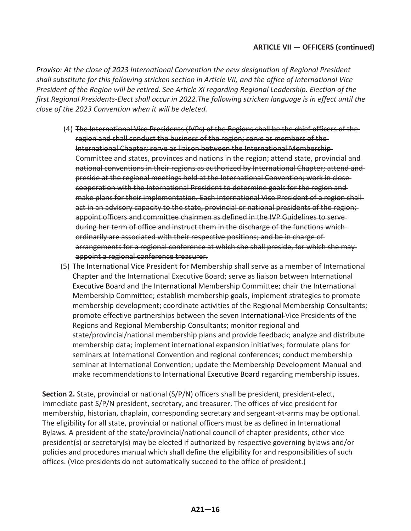*Proviso: At the close of 2023 International Convention the new designation of Regional President shall substitute for this following stricken section in Article VII, and the office of International Vice President of the Region will be retired. See Article XI regarding Regional Leadership. Election of the first Regional Presidents-Elect shall occur in 2022.The following stricken language is in effect until the close of the 2023 Convention when it will be deleted.*

- (4) The International Vice Presidents (IVPs) of the Regions shall be the chief officers of the region and shall conduct the business of the region; serve as members of the International Chapter; serve as liaison between the International Membership Committee and states, provinces and nations in the region; attend state, provincial and national conventions in their regions as authorized by International Chapter; attend and preside at the regional meetings held at the International Convention; work in close cooperation with the International President to determine goals for the region and make plans for their implementation. Each International Vice President of a region shall act in an advisory capacity to the state, provincial or national presidents of the region; appoint officers and committee chairmen as defined in the IVP Guidelines to serve during her term of office and instruct them in the discharge of the functions which ordinarily are associated with their respective positions; and be in charge of arrangements for a regional conference at which she shall preside, for which she may appoint a regional conference treasurer.
- (5) The International Vice President for Membership shall serve as a member of International Chapter and the International Executive Board; serve as liaison between International Executive Board and the International Membership Committee; chair the International Membership Committee; establish membership goals, implement strategies to promote membership development; coordinate activities of the Regional Membership Consultants; promote effective partnerships between the seven International Vice Presidents of the Regions and Regional Membership Consultants; monitor regional and state/provincial/national membership plans and provide feedback; analyze and distribute membership data; implement international expansion initiatives; formulate plans for seminars at International Convention and regional conferences; conduct membership seminar at International Convention; update the Membership Development Manual and make recommendations to International Executive Board regarding membership issues.

**Section 2.** State, provincial or national (S/P/N) officers shall be president, president-elect, immediate past S/P/N president, secretary, and treasurer. The offices of vice president for membership, historian, chaplain, corresponding secretary and sergeant-at-arms may be optional. The eligibility for all state, provincial or national officers must be as defined in International Bylaws. A president of the state/provincial/national council of chapter presidents, other vice president(s) or secretary(s) may be elected if authorized by respective governing bylaws and/or policies and procedures manual which shall define the eligibility for and responsibilities of such offices. (Vice presidents do not automatically succeed to the office of president.)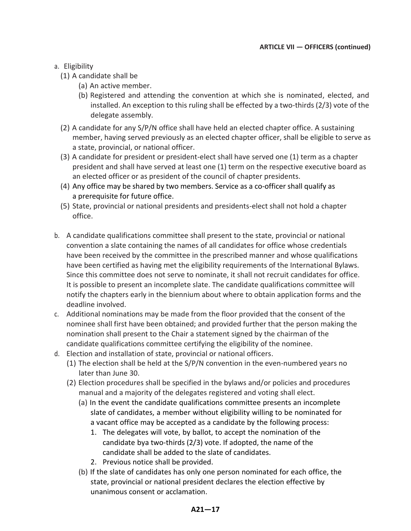#### a. Eligibility

- (1) A candidate shall be
	- (a) An active member.
	- (b) Registered and attending the convention at which she is nominated, elected, and installed. An exception to this ruling shall be effected by a two-thirds (2/3) vote of the delegate assembly.
- (2) A candidate for any S/P/N office shall have held an elected chapter office. A sustaining member, having served previously as an elected chapter officer, shall be eligible to serve as a state, provincial, or national officer.
- (3) A candidate for president or president-elect shall have served one (1) term as a chapter president and shall have served at least one (1) term on the respective executive board as an elected officer or as president of the council of chapter presidents.
- (4) Any office may be shared by two members. Service as a co-officer shall qualify as a prerequisite for future office.
- (5) State, provincial or national presidents and presidents-elect shall not hold a chapter office.
- b. A candidate qualifications committee shall present to the state, provincial or national convention a slate containing the names of all candidates for office whose credentials have been received by the committee in the prescribed manner and whose qualifications have been certified as having met the eligibility requirements of the International Bylaws. Since this committee does not serve to nominate, it shall not recruit candidates for office. It is possible to present an incomplete slate. The candidate qualifications committee will notify the chapters early in the biennium about where to obtain application forms and the deadline involved.
- c. Additional nominations may be made from the floor provided that the consent of the nominee shall first have been obtained; and provided further that the person making the nomination shall present to the Chair a statement signed by the chairman of the candidate qualifications committee certifying the eligibility of the nominee.
- d. Election and installation of state, provincial or national officers.
	- (1) The election shall be held at the S/P/N convention in the even-numbered years no later than June 30.
	- (2) Election procedures shall be specified in the bylaws and/or policies and procedures manual and a majority of the delegates registered and voting shall elect.
		- (a) In the event the candidate qualifications committee presents an incomplete slate of candidates, a member without eligibility willing to be nominated for a vacant office may be accepted as a candidate by the following process:
			- 1. The delegates will vote, by ballot, to accept the nomination of the candidate bya two-thirds (2/3) vote. If adopted, the name of the candidate shall be added to the slate of candidates.
			- 2. Previous notice shall be provided.
		- (b) If the slate of candidates has only one person nominated for each office, the state, provincial or national president declares the election effective by unanimous consent or acclamation.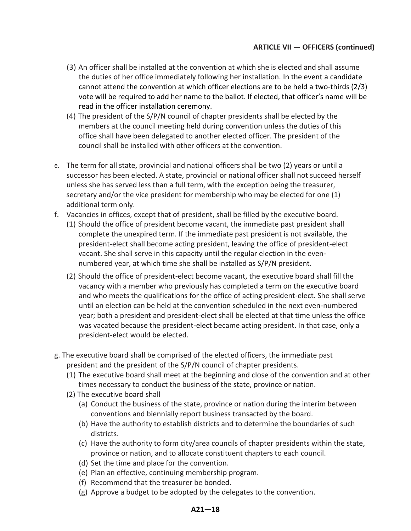- (3) An officer shall be installed at the convention at which she is elected and shall assume the duties of her office immediately following her installation. In the event a candidate cannot attend the convention at which officer elections are to be held a two-thirds (2/3) vote will be required to add her name to the ballot. If elected, that officer's name will be read in the officer installation ceremony.
- (4) The president of the S/P/N council of chapter presidents shall be elected by the members at the council meeting held during convention unless the duties of this office shall have been delegated to another elected officer. The president of the council shall be installed with other officers at the convention.
- e. The term for all state, provincial and national officers shall be two (2) years or until a successor has been elected. A state, provincial or national officer shall not succeed herself unless she has served less than a full term, with the exception being the treasurer, secretary and/or the vice president for membership who may be elected for one (1) additional term only.
- f. Vacancies in offices, except that of president, shall be filled by the executive board.
	- (1) Should the office of president become vacant, the immediate past president shall complete the unexpired term. If the immediate past president is not available, the president-elect shall become acting president, leaving the office of president-elect vacant. She shall serve in this capacity until the regular election in the evennumbered year, at which time she shall be installed as S/P/N president.
	- (2) Should the office of president-elect become vacant, the executive board shall fill the vacancy with a member who previously has completed a term on the executive board and who meets the qualifications for the office of acting president-elect. She shall serve until an election can be held at the convention scheduled in the next even-numbered year; both a president and president-elect shall be elected at that time unless the office was vacated because the president-elect became acting president. In that case, only a president-elect would be elected.
- g. The executive board shall be comprised of the elected officers, the immediate past president and the president of the S/P/N council of chapter presidents.
	- (1) The executive board shall meet at the beginning and close of the convention and at other times necessary to conduct the business of the state, province or nation.
	- (2) The executive board shall
		- (a) Conduct the business of the state, province or nation during the interim between conventions and biennially report business transacted by the board.
		- (b) Have the authority to establish districts and to determine the boundaries of such districts.
		- (c) Have the authority to form city/area councils of chapter presidents within the state, province or nation, and to allocate constituent chapters to each council.
		- (d) Set the time and place for the convention.
		- (e) Plan an effective, continuing membership program.
		- (f) Recommend that the treasurer be bonded.
		- (g) Approve a budget to be adopted by the delegates to the convention.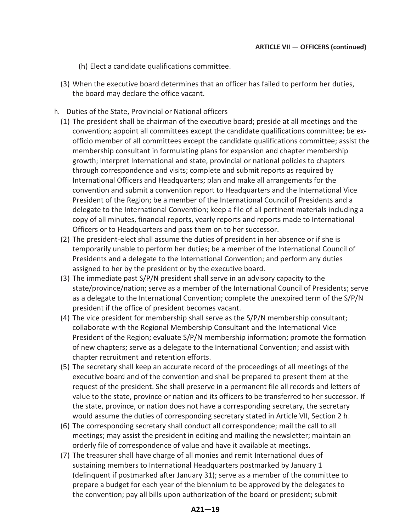(h) Elect a candidate qualifications committee.

- (3) When the executive board determines that an officer has failed to perform her duties, the board may declare the office vacant.
- h. Duties of the State, Provincial or National officers
	- (1) The president shall be chairman of the executive board; preside at all meetings and the convention; appoint all committees except the candidate qualifications committee; be exofficio member of all committees except the candidate qualifications committee; assist the membership consultant in formulating plans for expansion and chapter membership growth; interpret International and state, provincial or national policies to chapters through correspondence and visits; complete and submit reports as required by International Officers and Headquarters; plan and make all arrangements for the convention and submit a convention report to Headquarters and the International Vice President of the Region; be a member of the International Council of Presidents and a delegate to the International Convention; keep a file of all pertinent materials including a copy of all minutes, financial reports, yearly reports and reports made to International Officers or to Headquarters and pass them on to her successor.
	- (2) The president-elect shall assume the duties of president in her absence or if she is temporarily unable to perform her duties; be a member of the International Council of Presidents and a delegate to the International Convention; and perform any duties assigned to her by the president or by the executive board.
	- (3) The immediate past S/P/N president shall serve in an advisory capacity to the state/province/nation; serve as a member of the International Council of Presidents; serve as a delegate to the International Convention; complete the unexpired term of the S/P/N president if the office of president becomes vacant.
	- (4) The vice president for membership shall serve as the S/P/N membership consultant; collaborate with the Regional Membership Consultant and the International Vice President of the Region; evaluate S/P/N membership information; promote the formation of new chapters; serve as a delegate to the International Convention; and assist with chapter recruitment and retention efforts.
	- (5) The secretary shall keep an accurate record of the proceedings of all meetings of the executive board and of the convention and shall be prepared to present them at the request of the president. She shall preserve in a permanent file all records and letters of value to the state, province or nation and its officers to be transferred to her successor. If the state, province, or nation does not have a corresponding secretary, the secretary would assume the duties of corresponding secretary stated in Article VII, Section 2 h.
	- (6) The corresponding secretary shall conduct all correspondence; mail the call to all meetings; may assist the president in editing and mailing the newsletter; maintain an orderly file of correspondence of value and have it available at meetings.
	- (7) The treasurer shall have charge of all monies and remit International dues of sustaining members to International Headquarters postmarked by January 1 (delinquent if postmarked after January 31); serve as a member of the committee to prepare a budget for each year of the biennium to be approved by the delegates to the convention; pay all bills upon authorization of the board or president; submit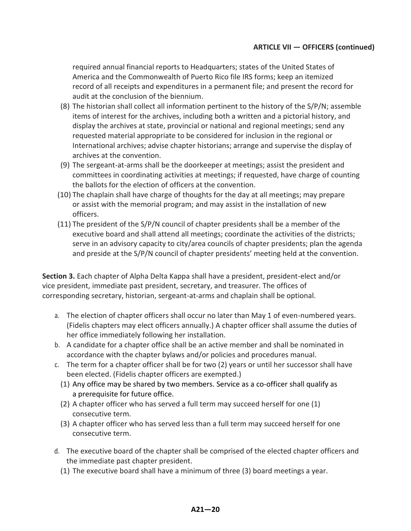required annual financial reports to Headquarters; states of the United States of America and the Commonwealth of Puerto Rico file IRS forms; keep an itemized record of all receipts and expenditures in a permanent file; and present the record for audit at the conclusion of the biennium.

- (8) The historian shall collect all information pertinent to the history of the S/P/N; assemble items of interest for the archives, including both a written and a pictorial history, and display the archives at state, provincial or national and regional meetings; send any requested material appropriate to be considered for inclusion in the regional or International archives; advise chapter historians; arrange and supervise the display of archives at the convention.
- (9) The sergeant-at-arms shall be the doorkeeper at meetings; assist the president and committees in coordinating activities at meetings; if requested, have charge of counting the ballots for the election of officers at the convention.
- (10) The chaplain shall have charge of thoughts for the day at all meetings; may prepare or assist with the memorial program; and may assist in the installation of new officers.
- (11) The president of the S/P/N council of chapter presidents shall be a member of the executive board and shall attend all meetings; coordinate the activities of the districts; serve in an advisory capacity to city/area councils of chapter presidents; plan the agenda and preside at the S/P/N council of chapter presidents' meeting held at the convention.

**Section 3.** Each chapter of Alpha Delta Kappa shall have a president, president-elect and/or vice president, immediate past president, secretary, and treasurer. The offices of corresponding secretary, historian, sergeant-at-arms and chaplain shall be optional.

- a. The election of chapter officers shall occur no later than May 1 of even-numbered years. (Fidelis chapters may elect officers annually.) A chapter officer shall assume the duties of her office immediately following her installation.
- b. A candidate for a chapter office shall be an active member and shall be nominated in accordance with the chapter bylaws and/or policies and procedures manual.
- c. The term for a chapter officer shall be for two (2) years or until her successor shall have been elected. (Fidelis chapter officers are exempted.)
	- (1) Any office may be shared by two members. Service as a co-officer shall qualify as a prerequisite for future office.
	- (2) A chapter officer who has served a full term may succeed herself for one (1) consecutive term.
	- (3) A chapter officer who has served less than a full term may succeed herself for one consecutive term.
- d. The executive board of the chapter shall be comprised of the elected chapter officers and the immediate past chapter president.
	- (1) The executive board shall have a minimum of three (3) board meetings a year.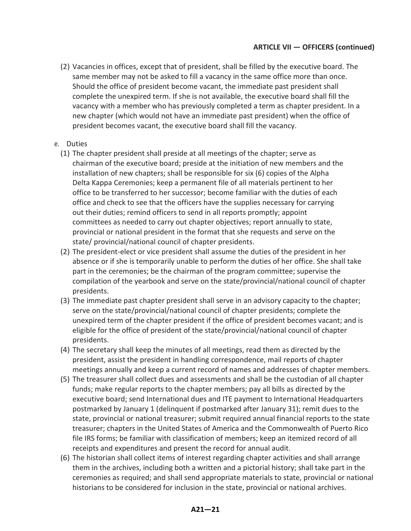(2) Vacancies in offices, except that of president, shall be filled by the executive board. The same member may not be asked to fill a vacancy in the same office more than once. Should the office of president become vacant, the immediate past president shall complete the unexpired term. If she is not available, the executive board shall fill the vacancy with a member who has previously completed a term as chapter president. In a new chapter (which would not have an immediate past president) when the office of president becomes vacant, the executive board shall fill the vacancy.

#### e. Duties

- (1) The chapter president shall preside at all meetings of the chapter; serve as chairman of the executive board; preside at the initiation of new members and the installation of new chapters; shall be responsible for six (6) copies of the Alpha Delta Kappa Ceremonies; keep a permanent file of all materials pertinent to her office to be transferred to her successor; become familiar with the duties of each office and check to see that the officers have the supplies necessary for carrying out their duties; remind officers to send in all reports promptly; appoint committees as needed to carry out chapter objectives; report annually to state, provincial or national president in the format that she requests and serve on the state/ provincial/national council of chapter presidents.
- (2) The president-elect or vice president shall assume the duties of the president in her absence or if she is temporarily unable to perform the duties of her office. She shall take part in the ceremonies; be the chairman of the program committee; supervise the compilation of the yearbook and serve on the state/provincial/national council of chapter presidents.
- (3) The immediate past chapter president shall serve in an advisory capacity to the chapter; serve on the state/provincial/national council of chapter presidents; complete the unexpired term of the chapter president if the office of president becomes vacant; and is eligible for the office of president of the state/provincial/national council of chapter presidents.
- (4) The secretary shall keep the minutes of all meetings, read them as directed by the president, assist the president in handling correspondence, mail reports of chapter meetings annually and keep a current record of names and addresses of chapter members.
- (5) The treasurer shall collect dues and assessments and shall be the custodian of all chapter funds; make regular reports to the chapter members; pay all bills as directed by the executive board; send International dues and ITE payment to International Headquarters postmarked by January 1 (delinquent if postmarked after January 31); remit dues to the state, provincial or national treasurer; submit required annual financial reports to the state treasurer; chapters in the United States of America and the Commonwealth of Puerto Rico file IRS forms; be familiar with classification of members; keep an itemized record of all receipts and expenditures and present the record for annual audit.
- (6) The historian shall collect items of interest regarding chapter activities and shall arrange them in the archives, including both a written and a pictorial history; shall take part in the ceremonies as required; and shall send appropriate materials to state, provincial or national historians to be considered for inclusion in the state, provincial or national archives.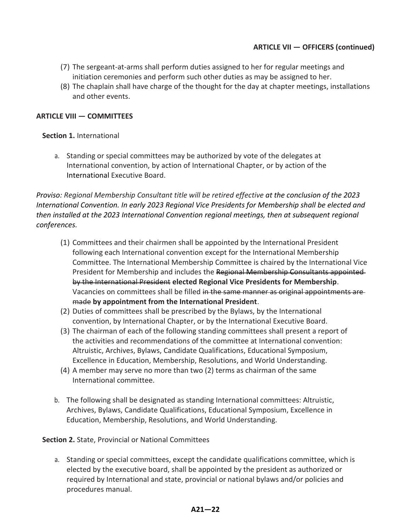- (7) The sergeant-at-arms shall perform duties assigned to her for regular meetings and initiation ceremonies and perform such other duties as may be assigned to her.
- (8) The chaplain shall have charge of the thought for the day at chapter meetings, installations and other events.

#### **ARTICLE VIII — COMMITTEES**

#### **Section 1.** International

a. Standing or special committees may be authorized by vote of the delegates at International convention, by action of International Chapter, or by action of the International Executive Board.

*Proviso: Regional Membership Consultant title will be retired effective at the conclusion of the 2023 International Convention. In early 2023 Regional Vice Presidents for Membership shall be elected and then installed at the 2023 International Convention regional meetings, then at subsequent regional conferences.*

- (1) Committees and their chairmen shall be appointed by the International President following each International convention except for the International Membership Committee. The International Membership Committee is chaired by the International Vice President for Membership and includes the Regional Membership Consultants appointed by the International President **elected Regional Vice Presidents for Membership**. Vacancies on committees shall be filled in the same manner as original appointments are made **by appointment from the International President**.
- (2) Duties of committees shall be prescribed by the Bylaws, by the International convention, by International Chapter, or by the International Executive Board.
- (3) The chairman of each of the following standing committees shall present a report of the activities and recommendations of the committee at International convention: Altruistic, Archives, Bylaws, Candidate Qualifications, Educational Symposium, Excellence in Education, Membership, Resolutions, and World Understanding.
- (4) A member may serve no more than two (2) terms as chairman of the same International committee.
- b. The following shall be designated as standing International committees: Altruistic, Archives, Bylaws, Candidate Qualifications, Educational Symposium, Excellence in Education, Membership, Resolutions, and World Understanding.

**Section 2.** State, Provincial or National Committees

a. Standing or special committees, except the candidate qualifications committee, which is elected by the executive board, shall be appointed by the president as authorized or required by International and state, provincial or national bylaws and/or policies and procedures manual.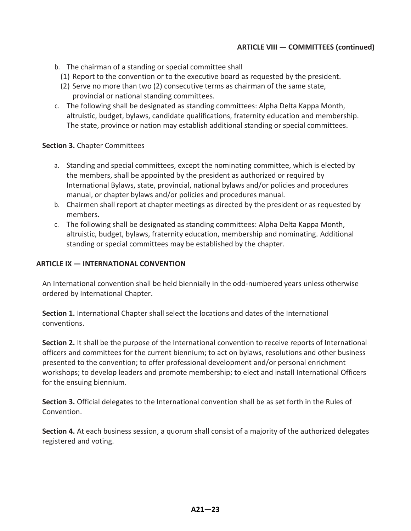#### **ARTICLE VIII — COMMITTEES (continued)**

- b. The chairman of a standing or special committee shall
	- (1) Report to the convention or to the executive board as requested by the president.
- (2) Serve no more than two (2) consecutive terms as chairman of the same state, provincial or national standing committees.
- c. The following shall be designated as standing committees: Alpha Delta Kappa Month, altruistic, budget, bylaws, candidate qualifications, fraternity education and membership. The state, province or nation may establish additional standing or special committees.

#### **Section 3.** Chapter Committees

- a. Standing and special committees, except the nominating committee, which is elected by the members, shall be appointed by the president as authorized or required by International Bylaws, state, provincial, national bylaws and/or policies and procedures manual, or chapter bylaws and/or policies and procedures manual.
- b. Chairmen shall report at chapter meetings as directed by the president or as requested by members.
- c. The following shall be designated as standing committees: Alpha Delta Kappa Month, altruistic, budget, bylaws, fraternity education, membership and nominating. Additional standing or special committees may be established by the chapter.

#### **ARTICLE IX — INTERNATIONAL CONVENTION**

An International convention shall be held biennially in the odd-numbered years unless otherwise ordered by International Chapter.

**Section 1.** International Chapter shall select the locations and dates of the International conventions.

**Section 2.** It shall be the purpose of the International convention to receive reports of International officers and committees for the current biennium; to act on bylaws, resolutions and other business presented to the convention; to offer professional development and/or personal enrichment workshops; to develop leaders and promote membership; to elect and install International Officers for the ensuing biennium.

**Section 3.** Official delegates to the International convention shall be as set forth in the Rules of Convention.

**Section 4.** At each business session, a quorum shall consist of a majority of the authorized delegates registered and voting.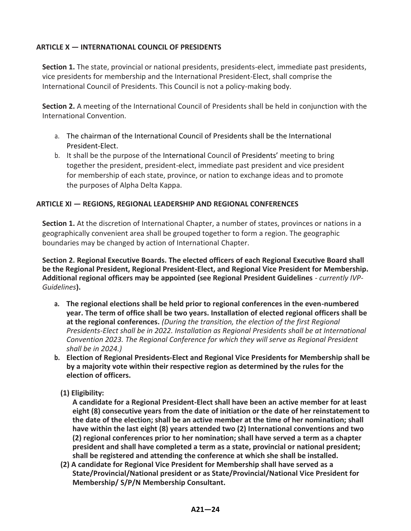#### **ARTICLE X — INTERNATIONAL COUNCIL OF PRESIDENTS**

**Section 1.** The state, provincial or national presidents, presidents-elect, immediate past presidents, vice presidents for membership and the International President-Elect, shall comprise the International Council of Presidents. This Council is not a policy-making body.

**Section 2.** A meeting of the International Council of Presidents shall be held in conjunction with the International Convention.

- a. The chairman of the International Council of Presidents shall be the International President-Elect.
- b. It shall be the purpose of the International Council of Presidents' meeting to bring together the president, president-elect, immediate past president and vice president for membership of each state, province, or nation to exchange ideas and to promote the purposes of Alpha Delta Kappa.

#### **ARTICLE XI — REGIONS, REGIONAL LEADERSHIP AND REGIONAL CONFERENCES**

**Section 1.** At the discretion of International Chapter, a number of states, provinces or nations in a geographically convenient area shall be grouped together to form a region. The geographic boundaries may be changed by action of International Chapter.

**Section 2. Regional Executive Boards. The elected officers of each Regional Executive Board shall be the Regional President, Regional President-Elect, and Regional Vice President for Membership. Additional regional officers may be appointed (see Regional President Guidelines** *- currently IVP-Guidelines***).**

- **a. The regional elections shall be held prior to regional conferences in the even-numbered year. The term of office shall be two years. Installation of elected regional officers shall be at the regional conferences.** *(During the transition, the election of the first Regional Presidents-Elect shall be in 2022. Installation as Regional Presidents shall be at International Convention 2023. The Regional Conference for which they will serve as Regional President shall be in 2024.)*
- **b. Election of Regional Presidents-Elect and Regional Vice Presidents for Membership shall be by a majority vote within their respective region as determined by the rules for the election of officers.**

#### **(1) Eligibility:**

**A candidate for a Regional President-Elect shall have been an active member for at least eight (8) consecutive years from the date of initiation or the date of her reinstatement to the date of the election; shall be an active member at the time of her nomination; shall have within the last eight (8) years attended two (2) International conventions and two (2) regional conferences prior to her nomination; shall have served a term as a chapter president and shall have completed a term as a state, provincial or national president; shall be registered and attending the conference at which she shall be installed.** 

**(2) A candidate for Regional Vice President for Membership shall have served as a State/Provincial/National president or as State/Provincial/National Vice President for Membership/ S/P/N Membership Consultant.**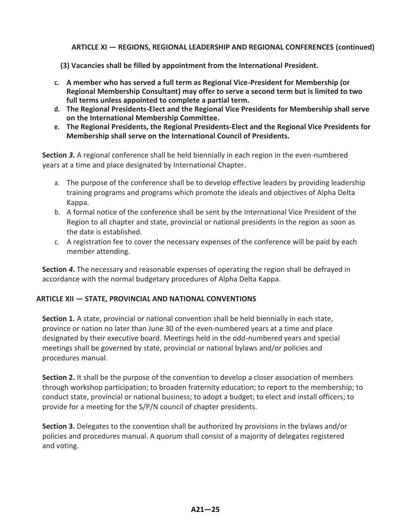**ARTICLE XI — REGIONS, REGIONAL LEADERSHIP AND REGIONAL CONFERENCES (continued)**

- **(3) Vacancies shall be filled by appointment from the International President.**
- **c. A member who has served a full term as Regional Vice-President for Membership (or Regional Membership Consultant) may offer to serve a second term but is limited to two full terms unless appointed to complete a partial term.**
- **d. The Regional Presidents-Elect and the Regional Vice Presidents for Membership shall serve on the International Membership Committee.**
- **e. The Regional Presidents, the Regional Presidents-Elect and the Regional Vice Presidents for Membership shall serve on the International Council of Presidents.**

**Section** *3***.** A regional conference shall be held biennially in each region in the even-numbered years at a time and place designated by International Chapter.

- a. The purpose of the conference shall be to develop effective leaders by providing leadership training programs and programs which promote the ideals and objectives of Alpha Delta Kappa.
- b. A formal notice of the conference shall be sent by the International Vice President of the Region to all chapter and state, provincial or national presidents in the region as soon as the date is established.
- c. A registration fee to cover the necessary expenses of the conference will be paid by each member attending.

**Section** *4***.** The necessary and reasonable expenses of operating the region shall be defrayed in accordance with the normal budgetary procedures of Alpha Delta Kappa.

#### **ARTICLE XII — STATE, PROVINCIAL AND NATIONAL CONVENTIONS**

**Section 1.** A state, provincial or national convention shall be held biennially in each state, province or nation no later than June 30 of the even-numbered years at a time and place designated by their executive board. Meetings held in the odd-numbered years and special meetings shall be governed by state, provincial or national bylaws and/or policies and procedures manual.

**Section 2.** It shall be the purpose of the convention to develop a closer association of members through workshop participation; to broaden fraternity education; to report to the membership; to conduct state, provincial or national business; to adopt a budget; to elect and install officers; to provide for a meeting for the S/P/N council of chapter presidents.

**Section 3.** Delegates to the convention shall be authorized by provisions in the bylaws and/or policies and procedures manual. A quorum shall consist of a majority of delegates registered and voting.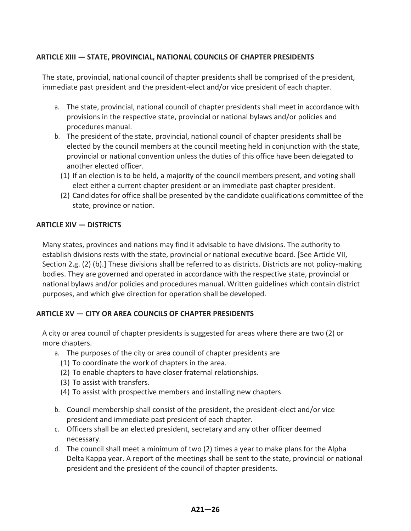#### **ARTICLE XIII — STATE, PROVINCIAL, NATIONAL COUNCILS OF CHAPTER PRESIDENTS**

The state, provincial, national council of chapter presidents shall be comprised of the president, immediate past president and the president-elect and/or vice president of each chapter.

- a. The state, provincial, national council of chapter presidents shall meet in accordance with provisions in the respective state, provincial or national bylaws and/or policies and procedures manual.
- b. The president of the state, provincial, national council of chapter presidents shall be elected by the council members at the council meeting held in conjunction with the state, provincial or national convention unless the duties of this office have been delegated to another elected officer.
	- (1) If an election is to be held, a majority of the council members present, and voting shall elect either a current chapter president or an immediate past chapter president.
	- (2) Candidates for office shall be presented by the candidate qualifications committee of the state, province or nation.

#### **ARTICLE XIV — DISTRICTS**

Many states, provinces and nations may find it advisable to have divisions. The authority to establish divisions rests with the state, provincial or national executive board. [See Article VII, Section 2.g. (2) (b).] These divisions shall be referred to as districts. Districts are not policy-making bodies. They are governed and operated in accordance with the respective state, provincial or national bylaws and/or policies and procedures manual. Written guidelines which contain district purposes, and which give direction for operation shall be developed.

#### **ARTICLE XV — CITY OR AREA COUNCILS OF CHAPTER PRESIDENTS**

A city or area council of chapter presidents is suggested for areas where there are two (2) or more chapters.

- a. The purposes of the city or area council of chapter presidents are
	- (1) To coordinate the work of chapters in the area.
	- (2) To enable chapters to have closer fraternal relationships.
	- (3) To assist with transfers.
	- (4) To assist with prospective members and installing new chapters.
- b. Council membership shall consist of the president, the president-elect and/or vice president and immediate past president of each chapter.
- c. Officers shall be an elected president, secretary and any other officer deemed necessary.
- d. The council shall meet a minimum of two (2) times a year to make plans for the Alpha Delta Kappa year. A report of the meetings shall be sent to the state, provincial or national president and the president of the council of chapter presidents.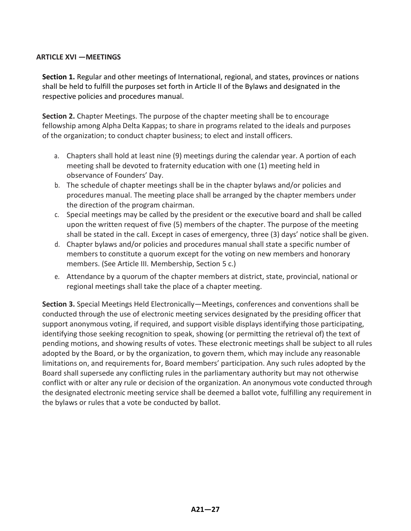#### **ARTICLE XVI —MEETINGS**

**Section 1.** Regular and other meetings of International, regional, and states, provinces or nations shall be held to fulfill the purposes set forth in Article II of the Bylaws and designated in the respective policies and procedures manual.

**Section 2.** Chapter Meetings. The purpose of the chapter meeting shall be to encourage fellowship among Alpha Delta Kappas; to share in programs related to the ideals and purposes of the organization; to conduct chapter business; to elect and install officers.

- a. Chapters shall hold at least nine (9) meetings during the calendar year. A portion of each meeting shall be devoted to fraternity education with one (1) meeting held in observance of Founders' Day.
- b. The schedule of chapter meetings shall be in the chapter bylaws and/or policies and procedures manual. The meeting place shall be arranged by the chapter members under the direction of the program chairman.
- c. Special meetings may be called by the president or the executive board and shall be called upon the written request of five (5) members of the chapter. The purpose of the meeting shall be stated in the call. Except in cases of emergency, three (3) days' notice shall be given.
- d. Chapter bylaws and/or policies and procedures manual shall state a specific number of members to constitute a quorum except for the voting on new members and honorary members. (See Article III. Membership, Section 5 c.)
- e. Attendance by a quorum of the chapter members at district, state, provincial, national or regional meetings shall take the place of a chapter meeting.

**Section 3.** Special Meetings Held Electronically—Meetings, conferences and conventions shall be conducted through the use of electronic meeting services designated by the presiding officer that support anonymous voting, if required, and support visible displays identifying those participating, identifying those seeking recognition to speak, showing (or permitting the retrieval of) the text of pending motions, and showing results of votes. These electronic meetings shall be subject to all rules adopted by the Board, or by the organization, to govern them, which may include any reasonable limitations on, and requirements for, Board members' participation. Any such rules adopted by the Board shall supersede any conflicting rules in the parliamentary authority but may not otherwise conflict with or alter any rule or decision of the organization. An anonymous vote conducted through the designated electronic meeting service shall be deemed a ballot vote, fulfilling any requirement in the bylaws or rules that a vote be conducted by ballot.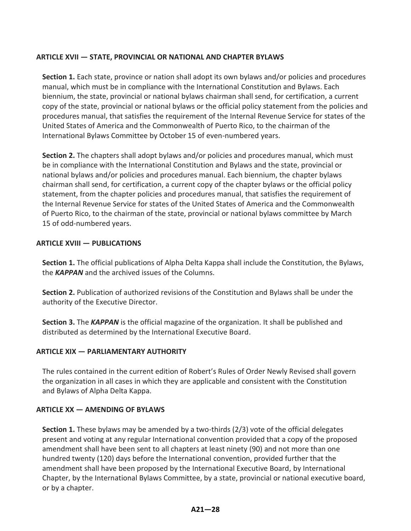#### **ARTICLE XVII — STATE, PROVINCIAL OR NATIONAL AND CHAPTER BYLAWS**

**Section 1.** Each state, province or nation shall adopt its own bylaws and/or policies and procedures manual, which must be in compliance with the International Constitution and Bylaws. Each biennium, the state, provincial or national bylaws chairman shall send, for certification, a current copy of the state, provincial or national bylaws or the official policy statement from the policies and procedures manual, that satisfies the requirement of the Internal Revenue Service for states of the United States of America and the Commonwealth of Puerto Rico, to the chairman of the International Bylaws Committee by October 15 of even-numbered years.

**Section 2.** The chapters shall adopt bylaws and/or policies and procedures manual, which must be in compliance with the International Constitution and Bylaws and the state, provincial or national bylaws and/or policies and procedures manual. Each biennium, the chapter bylaws chairman shall send, for certification, a current copy of the chapter bylaws or the official policy statement, from the chapter policies and procedures manual, that satisfies the requirement of the Internal Revenue Service for states of the United States of America and the Commonwealth of Puerto Rico, to the chairman of the state, provincial or national bylaws committee by March 15 of odd-numbered years.

#### **ARTICLE XVIII — PUBLICATIONS**

**Section 1.** The official publications of Alpha Delta Kappa shall include the Constitution, the Bylaws, the *KAPPAN* and the archived issues of the Columns.

**Section 2.** Publication of authorized revisions of the Constitution and Bylaws shall be under the authority of the Executive Director.

**Section 3.** The *KAPPAN* is the official magazine of the organization. It shall be published and distributed as determined by the International Executive Board.

#### **ARTICLE XIX — PARLIAMENTARY AUTHORITY**

The rules contained in the current edition of Robert's Rules of Order Newly Revised shall govern the organization in all cases in which they are applicable and consistent with the Constitution and Bylaws of Alpha Delta Kappa.

#### **ARTICLE XX — AMENDING OF BYLAWS**

**Section 1.** These bylaws may be amended by a two-thirds (2/3) vote of the official delegates present and voting at any regular International convention provided that a copy of the proposed amendment shall have been sent to all chapters at least ninety (90) and not more than one hundred twenty (120) days before the International convention, provided further that the amendment shall have been proposed by the International Executive Board, by International Chapter, by the International Bylaws Committee, by a state, provincial or national executive board, or by a chapter.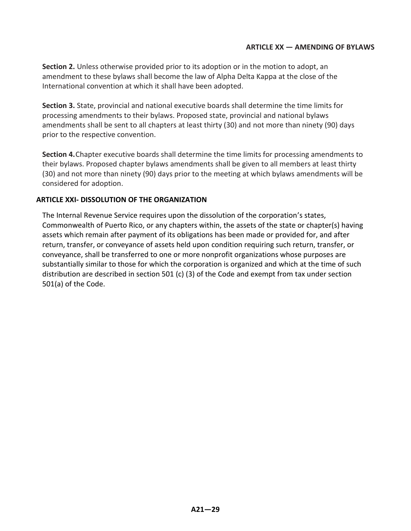#### **ARTICLE XX — AMENDING OF BYLAWS**

**Section 2.** Unless otherwise provided prior to its adoption or in the motion to adopt, an amendment to these bylaws shall become the law of Alpha Delta Kappa at the close of the International convention at which it shall have been adopted.

**Section 3.** State, provincial and national executive boards shall determine the time limits for processing amendments to their bylaws. Proposed state, provincial and national bylaws amendments shall be sent to all chapters at least thirty (30) and not more than ninety (90) days prior to the respective convention.

**Section 4.**Chapter executive boards shall determine the time limits for processing amendments to their bylaws. Proposed chapter bylaws amendments shall be given to all members at least thirty (30) and not more than ninety (90) days prior to the meeting at which bylaws amendments will be considered for adoption.

#### **ARTICLE XXI- DISSOLUTION OF THE ORGANIZATION**

The Internal Revenue Service requires upon the dissolution of the corporation's states, Commonwealth of Puerto Rico, or any chapters within, the assets of the state or chapter(s) having assets which remain after payment of its obligations has been made or provided for, and after return, transfer, or conveyance of assets held upon condition requiring such return, transfer, or conveyance, shall be transferred to one or more nonprofit organizations whose purposes are substantially similar to those for which the corporation is organized and which at the time of such distribution are described in section 501 (c) (3) of the Code and exempt from tax under section 501(a) of the Code.